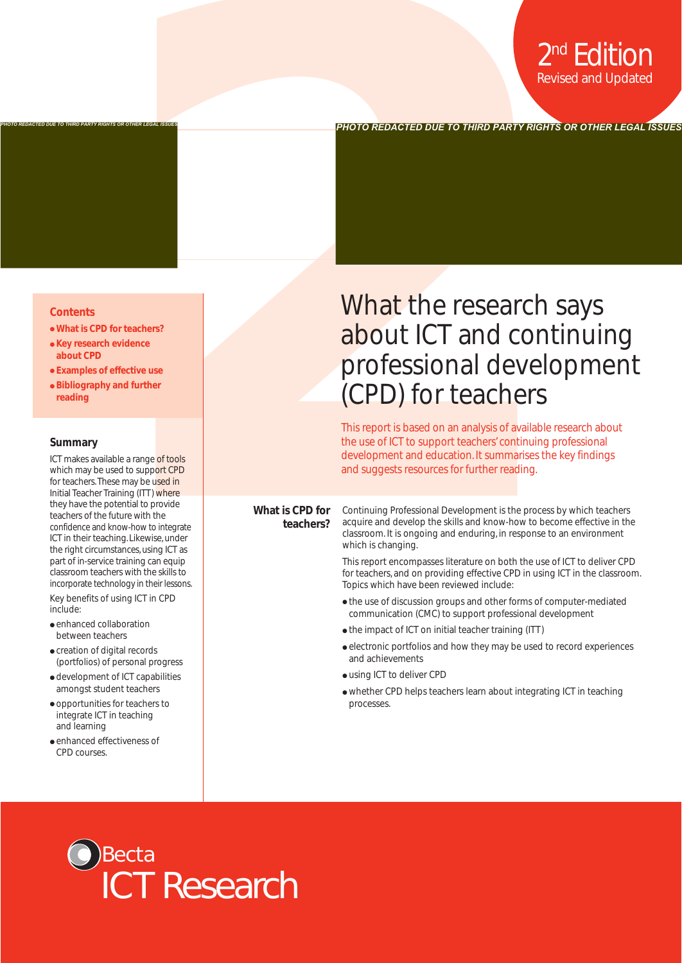#### **Contents**

- **What is CPD for teachers?**
- **Key research evidence about CPD**

*PHOTO REDACTED DUE TO THIRD PARTY RIGHTS OR OTHER LEGAL ISSUES*

- **Examples of effective use**
- **Bibliography and further reading**

#### **Summary**

ICT makes available a range of tools which may be used to support CPD for teachers.These may be used in Initial Teacher Training (ITT) where they have the potential to provide teachers of the future with the confidence and know-how to integrate ICT in their teaching. Likewise, under the right circumstances, using ICT as part of in-service training can equip classroom teachers with the skills to incorporate technology in their lessons.

Key benefits of using ICT in CPD include:

- enhanced collaboration between teachers
- creation of digital records (portfolios) of personal progress
- development of ICT capabilities amongst student teachers
- opportunities for teachers to integrate ICT in teaching and learning
- enhanced effectiveness of CPD courses.

# **Professional Construction**<br>
Revised and Updated Professional Constructions<br>
The insulance of the construction of the construction of the construction<br>
Distribution of the construction of the construction of the construct What the research says about ICT and continuing professional development (CPD) for teachers

*PHOTO REDACTED DUE TO THIRD PARTY RIGHTS OR OTHER LEGAL ISSUES*

This report is based on an analysis of available research about the use of ICT to support teachers' continuing professional development and education. It summarises the key findings and suggests resources for further reading.

#### **What is CPD for teachers?**

Continuing Professional Development is the process by which teachers acquire and develop the skills and know-how to become effective in the classroom. It is ongoing and enduring, in response to an environment which is changing.

This report encompasses literature on both the use of ICT to deliver CPD for teachers, and on providing effective CPD in using ICT in the classroom. Topics which have been reviewed include:

- the use of discussion groups and other forms of computer-mediated communication (CMC) to support professional development
- the impact of ICT on initial teacher training (ITT)
- electronic portfolios and how they may be used to record experiences and achievements
- using ICT to deliver CPD
- whether CPD helps teachers learn about integrating ICT in teaching processes.

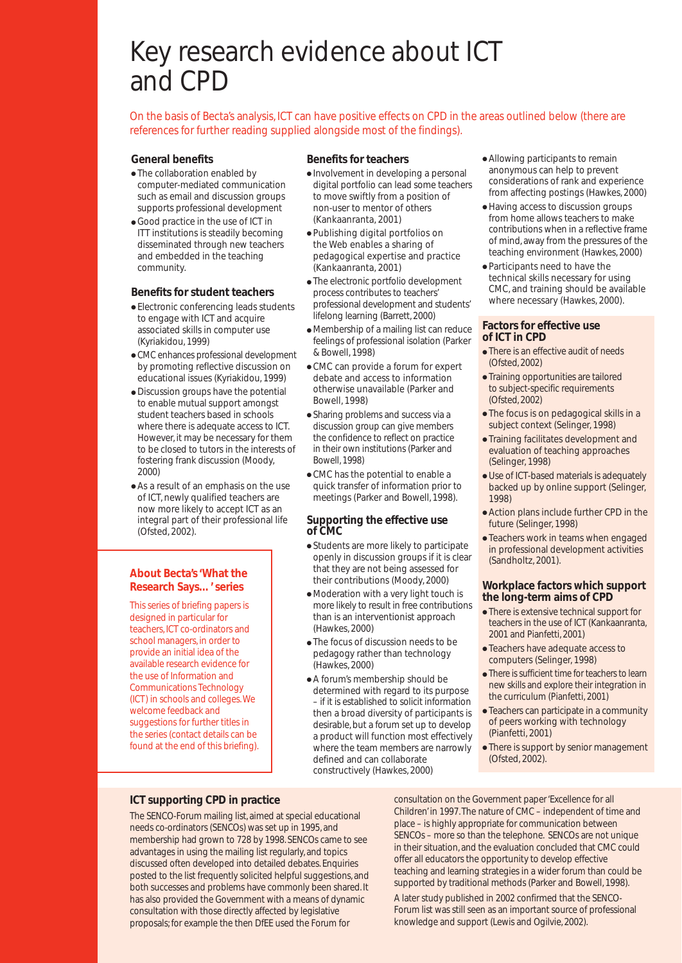## Key research evidence about ICT and CPD

On the basis of Becta's analysis, ICT can have positive effects on CPD in the areas outlined below (there are references for further reading supplied alongside most of the findings).

#### **General benefits**

- The collaboration enabled by computer-mediated communication such as email and discussion groups supports professional development
- Good practice in the use of ICT in ITT institutions is steadily becoming disseminated through new teachers and embedded in the teaching community.

#### **Benefits for student teachers**

- Electronic conferencing leads students to engage with ICT and acquire associated skills in computer use (Kyriakidou, 1999)
- CMC enhances professional development by promoting reflective discussion on educational issues (Kyriakidou, 1999)
- Discussion groups have the potential to enable mutual support amongst student teachers based in schools where there is adequate access to ICT. However, it may be necessary for them to be closed to tutors in the interests of fostering frank discussion (Moody, 2000)
- As a result of an emphasis on the use of ICT, newly qualified teachers are now more likely to accept ICT as an integral part of their professional life (Ofsted, 2002).

#### **About Becta's 'What the Research Says…' series**

This series of briefing papers is designed in particular for teachers, ICT co-ordinators and school managers, in order to provide an initial idea of the available research evidence for the use of Information and Communications Technology (ICT) in schools and colleges.We welcome feedback and suggestions for further titles in the series (contact details can be found at the end of this briefing).

#### **Benefits for teachers**

- Involvement in developing a personal digital portfolio can lead some teachers to move swiftly from a position of non-user to mentor of others (Kankaanranta, 2001)
- Publishing digital portfolios on the Web enables a sharing of pedagogical expertise and practice (Kankaanranta, 2001)
- The electronic portfolio development process contributes to teachers' professional development and students' lifelong learning (Barrett, 2000)
- Membership of a mailing list can reduce feelings of professional isolation (Parker & Bowell, 1998)
- CMC can provide a forum for expert debate and access to information otherwise unavailable (Parker and Bowell, 1998)
- Sharing problems and success via a discussion group can give members the confidence to reflect on practice in their own institutions (Parker and Bowell, 1998)
- CMC has the potential to enable a quick transfer of information prior to meetings (Parker and Bowell, 1998).

#### **Supporting the effective use of CMC**

- Students are more likely to participate openly in discussion groups if it is clear that they are not being assessed for their contributions (Moody, 2000)
- Moderation with a very light touch is more likely to result in free contributions than is an interventionist approach (Hawkes, 2000)
- The focus of discussion needs to be pedagogy rather than technology (Hawkes, 2000)
- A forum's membership should be determined with regard to its purpose – if it is established to solicit information then a broad diversity of participants is desirable, but a forum set up to develop a product will function most effectively where the team members are narrowly defined and can collaborate constructively (Hawkes, 2000)
- Allowing participants to remain anonymous can help to prevent considerations of rank and experience from affecting postings (Hawkes, 2000)
- Having access to discussion groups from home allows teachers to make contributions when in a reflective frame of mind, away from the pressures of the teaching environment (Hawkes, 2000)
- Participants need to have the technical skills necessary for using CMC, and training should be available where necessary (Hawkes, 2000).

#### **Factors for effective use of ICT in CPD**

- There is an effective audit of needs (Ofsted, 2002)
- Training opportunities are tailored to subject-specific requirements (Ofsted, 2002)
- The focus is on pedagogical skills in a subject context (Selinger, 1998)
- Training facilitates development and evaluation of teaching approaches (Selinger, 1998)
- Use of ICT-based materials is adequately backed up by online support (Selinger, 1998)
- Action plans include further CPD in the future (Selinger, 1998)
- Teachers work in teams when engaged in professional development activities (Sandholtz, 2001).

#### **Workplace factors which support the long-term aims of CPD**

- There is extensive technical support for teachers in the use of ICT (Kankaanranta, 2001 and Pianfetti, 2001)
- Teachers have adequate access to computers (Selinger, 1998)
- There is sufficient time for teachers to learn new skills and explore their integration in the curriculum (Pianfetti, 2001)
- Teachers can participate in a community of peers working with technology (Pianfetti, 2001)
- There is support by senior management (Ofsted, 2002).

#### **ICT supporting CPD in practice**

The SENCO-Forum mailing list, aimed at special educational needs co-ordinators (SENCOs) was set up in 1995, and membership had grown to 728 by 1998. SENCOs came to see advantages in using the mailing list regularly, and topics discussed often developed into detailed debates. Enquiries posted to the list frequently solicited helpful suggestions, and both successes and problems have commonly been shared. It has also provided the Government with a means of dynamic consultation with those directly affected by legislative proposals; for example the then DfEE used the Forum for

consultation on the Government paper 'Excellence for all Children' in 1997.The nature of CMC – independent of time and place – is highly appropriate for communication between SENCOs – more so than the telephone. SENCOs are not unique in their situation, and the evaluation concluded that CMC could offer all educators the opportunity to develop effective teaching and learning strategies in a wider forum than could be supported by traditional methods (Parker and Bowell, 1998). A later study published in 2002 confirmed that the SENCO-Forum list was still seen as an important source of professional knowledge and support (Lewis and Ogilvie, 2002).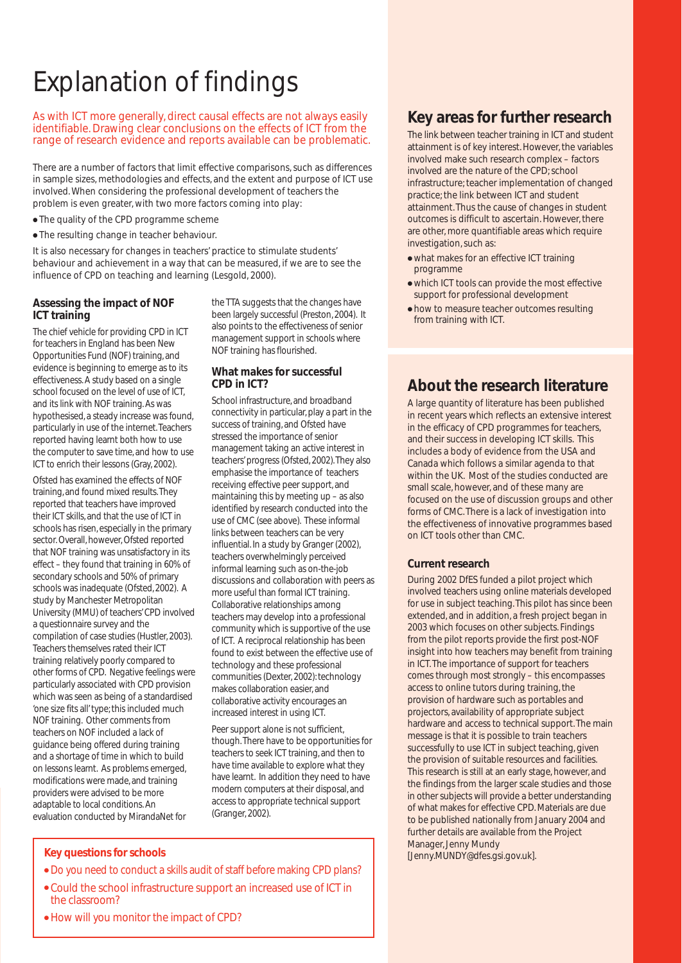# Explanation of findings

As with ICT more generally, direct causal effects are not always easily identifiable. Drawing clear conclusions on the effects of ICT from the range of research evidence and reports available can be problematic.

There are a number of factors that limit effective comparisons, such as differences in sample sizes, methodologies and effects, and the extent and purpose of ICT use involved. When considering the professional development of teachers the problem is even greater, with two more factors coming into play:

- The quality of the CPD programme scheme
- The resulting change in teacher behaviour.

It is also necessary for changes in teachers' practice to stimulate students' behaviour and achievement in a way that can be measured, if we are to see the influence of CPD on teaching and learning (Lesgold, 2000).

#### **Assessing the impact of NOF ICT training**

The chief vehicle for providing CPD in ICT for teachers in England has been New Opportunities Fund (NOF) training, and evidence is beginning to emerge as to its effectiveness. A study based on a single school focused on the level of use of ICT, and its link with NOF training. As was hypothesised, a steady increase was found, particularly in use of the internet.Teachers reported having learnt both how to use the computer to save time, and how to use ICT to enrich their lessons (Gray, 2002).

Ofsted has examined the effects of NOF training, and found mixed results.They reported that teachers have improved their ICT skills, and that the use of ICT in schools has risen, especially in the primary sector. Overall, however, Ofsted reported that NOF training was unsatisfactory in its effect – they found that training in 60% of secondary schools and 50% of primary schools was inadequate (Ofsted, 2002). A study by Manchester Metropolitan University (MMU) of teachers' CPD involved a questionnaire survey and the compilation of case studies (Hustler, 2003). Teachers themselves rated their ICT training relatively poorly compared to other forms of CPD. Negative feelings were particularly associated with CPD provision which was seen as being of a standardised 'one size fits all' type; this included much NOF training. Other comments from teachers on NOF included a lack of guidance being offered during training and a shortage of time in which to build on lessons learnt. As problems emerged, modifications were made, and training providers were advised to be more adaptable to local conditions. An evaluation conducted by MirandaNet for

the TTA suggests that the changes have been largely successful (Preston, 2004). It also points to the effectiveness of senior management support in schools where NOF training has flourished.

#### **What makes for successful CPD in ICT?**

School infrastructure, and broadband connectivity in particular, play a part in the success of training, and Ofsted have stressed the importance of senior management taking an active interest in teachers' progress (Ofsted, 2002).They also emphasise the importance of teachers receiving effective peer support, and maintaining this by meeting up – as also identified by research conducted into the use of CMC (see above). These informal links between teachers can be very influential. In a study by Granger (2002), teachers overwhelmingly perceived informal learning such as on-the-job discussions and collaboration with peers as more useful than formal ICT training. Collaborative relationships among teachers may develop into a professional community which is supportive of the use of ICT. A reciprocal relationship has been found to exist between the effective use of technology and these professional communities (Dexter, 2002): technology makes collaboration easier, and collaborative activity encourages an increased interest in using ICT.

Peer support alone is not sufficient, though.There have to be opportunities for teachers to seek ICT training, and then to have time available to explore what they have learnt. In addition they need to have modern computers at their disposal, and access to appropriate technical support (Granger, 2002).

#### **Key questions for schools**

- Do you need to conduct a skills audit of staff before making CPD plans?
- Could the school infrastructure support an increased use of ICT in the classroom?
- How will you monitor the impact of CPD?

#### **Key areas for further research**

The link between teacher training in ICT and student attainment is of key interest. However, the variables involved make such research complex – factors involved are the nature of the CPD; school infrastructure; teacher implementation of changed practice; the link between ICT and student attainment. Thus the cause of changes in student outcomes is difficult to ascertain. However, there are other, more quantifiable areas which require investigation, such as:

- what makes for an effective ICT training programme
- which ICT tools can provide the most effective support for professional development
- how to measure teacher outcomes resulting from training with ICT.

#### **About the research literature**

A large quantity of literature has been published in recent years which reflects an extensive interest in the efficacy of CPD programmes for teachers, and their success in developing ICT skills. This includes a body of evidence from the USA and Canada which follows a similar agenda to that within the UK. Most of the studies conducted are small scale, however, and of these many are focused on the use of discussion groups and other forms of CMC. There is a lack of investigation into the effectiveness of innovative programmes based on ICT tools other than CMC.

#### **Current research**

During 2002 DfES funded a pilot project which involved teachers using online materials developed for use in subject teaching. This pilot has since been extended, and in addition, a fresh project began in 2003 which focuses on other subjects. Findings from the pilot reports provide the first post-NOF insight into how teachers may benefit from training in ICT. The importance of support for teachers comes through most strongly – this encompasses access to online tutors during training, the provision of hardware such as portables and projectors, availability of appropriate subject hardware and access to technical support. The main message is that it is possible to train teachers successfully to use ICT in subject teaching, given the provision of suitable resources and facilities. This research is still at an early stage, however, and the findings from the larger scale studies and those in other subjects will provide a better understanding of what makes for effective CPD. Materials are due to be published nationally from January 2004 and further details are available from the Project Manager, Jenny Mundy [Jenny.MUNDY@dfes.gsi.gov.uk].